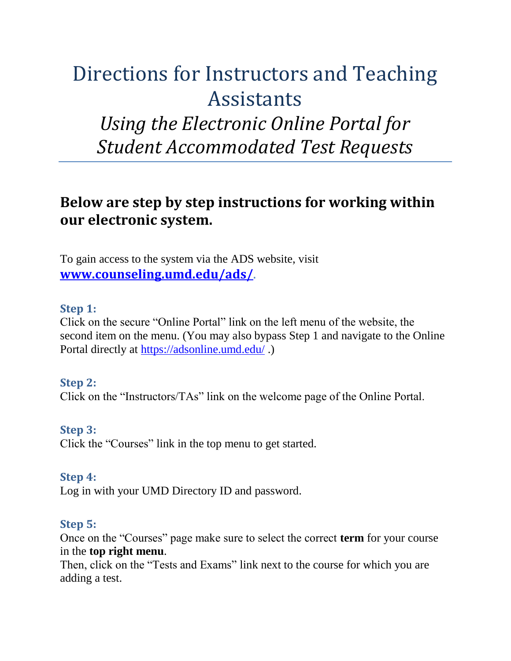# Directions for Instructors and Teaching Assistants *Using the Electronic Online Portal for Student Accommodated Test Requests*

# **Below are step by step instructions for working within our electronic system.**

To gain access to the system via the ADS website, visit **[www.counseling.umd.edu/ads/](http://www.counseling.umd.edu/ads/).**

#### **Step 1:**

Click on the secure "Online Portal" link on the left menu of the website, the second item on the menu. (You may also bypass Step 1 and navigate to the Online Portal directly at [https://adsonline.umd.edu/](https://dssonline.umd.edu/).)

#### **Step 2:**

Click on the "Instructors/TAs" link on the welcome page of the Online Portal.

#### **Step 3:**

Click the "Courses" link in the top menu to get started.

#### **Step 4:**

Log in with your UMD Directory ID and password.

#### **Step 5:**

Once on the "Courses" page make sure to select the correct **term** for your course in the **top right menu**.

Then, click on the "Tests and Exams" link next to the course for which you are adding a test.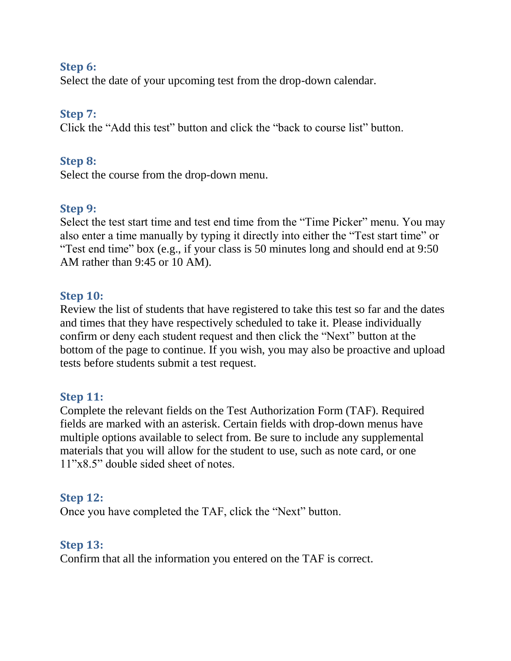#### **Step 6:**

Select the date of your upcoming test from the drop-down calendar.

# **Step 7:**

Click the "Add this test" button and click the "back to course list" button.

# **Step 8:**

Select the course from the drop-down menu.

# **Step 9:**

Select the test start time and test end time from the "Time Picker" menu. You may also enter a time manually by typing it directly into either the "Test start time" or "Test end time" box (e.g., if your class is 50 minutes long and should end at 9:50 AM rather than 9:45 or 10 AM).

#### **Step 10:**

Review the list of students that have registered to take this test so far and the dates and times that they have respectively scheduled to take it. Please individually confirm or deny each student request and then click the "Next" button at the bottom of the page to continue. If you wish, you may also be proactive and upload tests before students submit a test request.

# **Step 11:**

Complete the relevant fields on the Test Authorization Form (TAF). Required fields are marked with an asterisk. Certain fields with drop-down menus have multiple options available to select from. Be sure to include any supplemental materials that you will allow for the student to use, such as note card, or one 11"x8.5" double sided sheet of notes.

# **Step 12:**

Once you have completed the TAF, click the "Next" button.

# **Step 13:**

Confirm that all the information you entered on the TAF is correct.